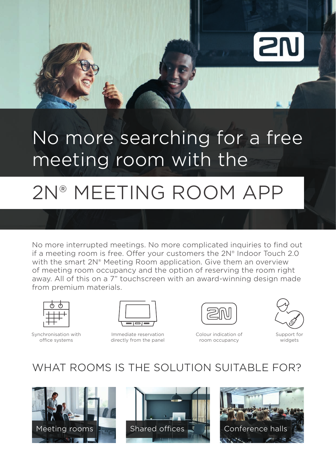

## No more searching for a free meeting room with the

# 2N® MEETING ROOM APP

No more interrupted meetings. No more complicated inquiries to find out if a meeting room is free. Offer your customers the  $2N<sup>®</sup>$  Indoor Touch 2.0 with the smart 2N® Meeting Room application. Give them an overview of meeting room occupancy and the option of reserving the room right away. All of this on a 7" touchscreen with an award-winning design made from premium materials.



Synchronisation with office systems



Immediate reservation directly from the panel Colour indication of room occupancy



Support for widgets

#### WHAT ROOMS IS THE SOLUTION SUITABLE FOR?